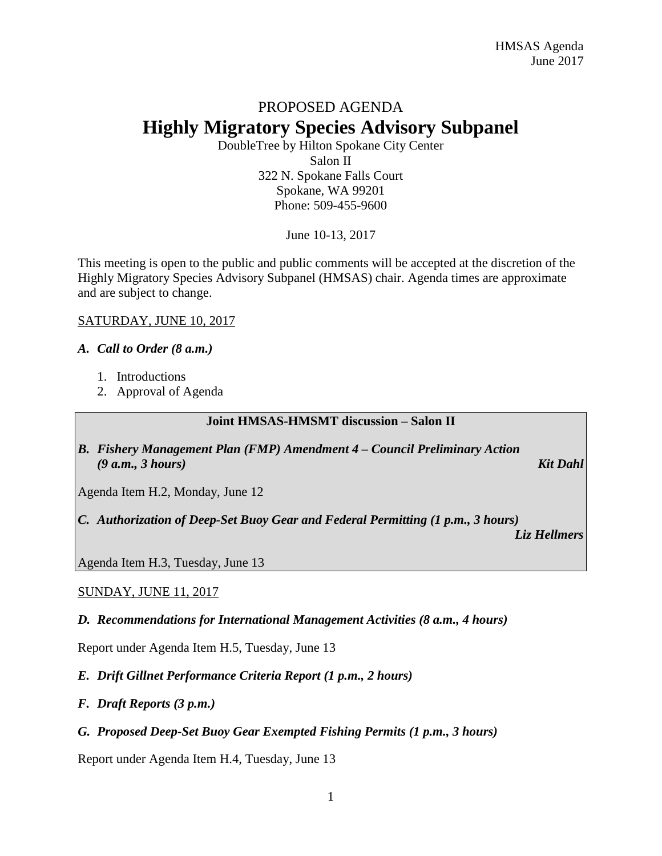# PROPOSED AGENDA **Highly Migratory Species Advisory Subpanel**

DoubleTree by Hilton Spokane City Center Salon II 322 N. Spokane Falls Court Spokane, WA 99201 Phone: 509-455-9600

June 10-13, 2017

This meeting is open to the public and public comments will be accepted at the discretion of the Highly Migratory Species Advisory Subpanel (HMSAS) chair. Agenda times are approximate and are subject to change.

#### SATURDAY, JUNE 10, 2017

# *A. Call to Order (8 a.m.)*

- 1. Introductions
- 2. Approval of Agenda

#### **Joint HMSAS-HMSMT discussion – Salon II**

*B. Fishery Management Plan (FMP) Amendment 4 – Council Preliminary Action (9 a.m., 3 hours) Kit Dahl*

Agenda Item H.2, Monday, June 12

*C. Authorization of Deep-Set Buoy Gear and Federal Permitting (1 p.m., 3 hours)*

*Liz Hellmers*

Agenda Item H.3, Tuesday, June 13

# SUNDAY, JUNE 11, 2017

#### *D. Recommendations for International Management Activities (8 a.m., 4 hours)*

Report under Agenda Item H.5, Tuesday, June 13

# *E. Drift Gillnet Performance Criteria Report (1 p.m., 2 hours)*

- *F. Draft Reports (3 p.m.)*
- *G. Proposed Deep-Set Buoy Gear Exempted Fishing Permits (1 p.m., 3 hours)*

Report under Agenda Item H.4, Tuesday, June 13